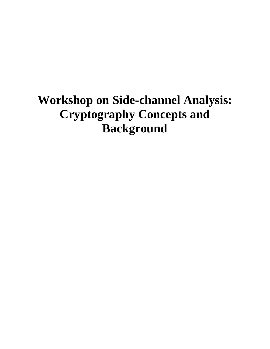# **Workshop on Side-channel Analysis: Cryptography Concepts and Background**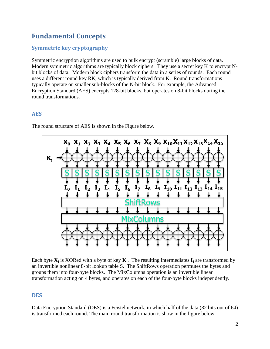### **Fundamental Concepts**

#### **Symmetric key cryptography**

Symmetric encryption algorithms are used to bulk encrypt (scramble) large blocks of data. Modern symmetric algorithms are typically block ciphers. They use a secret key K to encrypt Nbit blocks of data. Modern block ciphers transform the data in a series of rounds. Each round uses a different round key RK, which is typically derived from K. Round transformations typically operate on smaller sub-blocks of the N-bit block. For example, the Advanced Encryption Standard (AES) encrypts 128-bit blocks, but operates on 8-bit blocks during the round transformations.

#### **AES**

 $X_0$ ,  $X_1$ ,  $X_2$ ,  $X_3$ ,  $X_4$ ,  $X_5$ ,  $X_6$ ,  $X_7$ ,  $X_8$ ,  $X_9$ ,  $X_{10}$ ,  $X_{11}$ ,  $X_{12}$ ,  $X_{13}$ ,  $X_{14}$ ,  $X_{15}$  $K_i$  $I_7$   $I_8$   $I_9$   $I_{10}$   $I_{11}$   $I_{12}$   $I_{13}$   $I_{14}$   $I_{15}$  $\mathbf{I}_{1}$  $I_2$   $I_3$   $I_4$   $I_5$   $I_6$ olumi

The round structure of AES is shown in the Figure below.

Each byte **X<sup>j</sup>** is XORed with a byte of key **K<sup>j</sup>** . The resulting intermediates **I<sup>j</sup>** are transformed by an invertible nonlinear 8-bit lookup table S. The ShiftRows operation permutes the bytes and groups them into four-byte blocks. The MixColumns operation is an invertible linear transformation acting on 4 bytes, and operates on each of the four-byte blocks independently.

#### **DES**

Data Encryption Standard (DES) is a Feistel network, in which half of the data (32 bits out of 64) is transformed each round. The main round transformation is show in the figure below.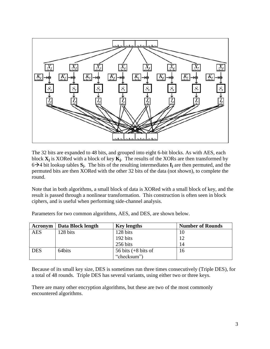

The 32 bits are expanded to 48 bits, and grouped into eight 6-bit blocks. As with AES, each block **X<sup>j</sup>** is XORed with a block of key **K<sup>j</sup>** . The results of the XORs are then transformed by  $6\rightarrow 4$  bit lookup tables  $S_j$ . The bits of the resulting intermediates  $I_j$  are then permuted, and the permuted bits are then XORed with the other 32 bits of the data (not shown), to complete the round.

Note that in both algorithms, a small block of data is XORed with a small block of key, and the result is passed through a nonlinear transformation. This construction is often seen in block ciphers, and is useful when performing side-channel analysis.

| Acronym    | Data Block length | <b>Key lengths</b>    | <b>Number of Rounds</b> |
|------------|-------------------|-----------------------|-------------------------|
| <b>AES</b> | 128 bits          | 128 bits              | 10                      |
|            |                   | 192 bits              | 12                      |
|            |                   | 256 bits              | 14                      |
| <b>DES</b> | 64bits            | 56 bits $(+8$ bits of | 16                      |
|            |                   | "checksum")           |                         |

Parameters for two common algorithms, AES, and DES, are shown below.

Because of its small key size, DES is sometimes run three times consecutively (Triple DES), for a total of 48 rounds. Triple DES has several variants, using either two or three keys.

There are many other encryption algorithms, but these are two of the most commonly encountered algorithms.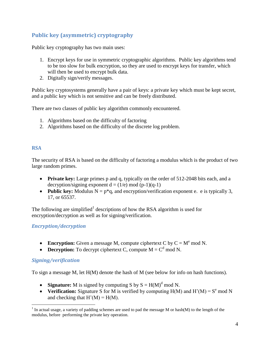#### **Public key (asymmetric) cryptography**

Public key cryptography has two main uses:

- 1. Encrypt keys for use in symmetric cryptographic algorithms. Public key algorithms tend to be too slow for bulk encryption, so they are used to encrypt keys for transfer, which will then be used to encrypt bulk data.
- 2. Digitally sign/verify messages.

Public key cryptosystems generally have a pair of keys: a private key which must be kept secret, and a public key which is not sensitive and can be freely distributed.

There are two classes of public key algorithm commonly encountered.

- 1. Algorithms based on the difficulty of factoring
- 2. Algorithms based on the difficulty of the discrete log problem.

#### **RSA**

The security of RSA is based on the difficulty of factoring a modulus which is the product of two large random primes.

- **Private key:** Large primes p and q, typically on the order of 512-2048 bits each, and a decryption/signing exponent  $d = (1/e) \mod (p-1)(q-1)$
- **Public key:** Modulus  $N = p^*q$ , and encryption/verification exponent e. e is typically 3, 17, or 65537.

The following are simplified<sup>1</sup> descriptions of how the RSA algorithm is used for encryption/decryption as well as for signing/verification.

#### *Encryption/decryption*

- **Encryption:** Given a message M, compute ciphertext C by  $C = M^e$  mod N.
- **Decryption:** To decrypt ciphertext C, compute  $M = C<sup>d</sup>$  mod N.

#### *Signing/verification*

 $\overline{a}$ 

To sign a message M, let H(M) denote the hash of M (see below for info on hash functions).

- **Signature:** M is signed by computing S by  $S = H(M)^d$  mod N.
- Verification: Signature S for M is verified by computing  $H(M)$  and  $H'(M) = S^e$  mod N and checking that  $H'(M) = H(M)$ .

<sup>&</sup>lt;sup>1</sup> In actual usage, a variety of padding schemes are used to pad the message M or hash(M) to the length of the modulus, before performing the private key operation.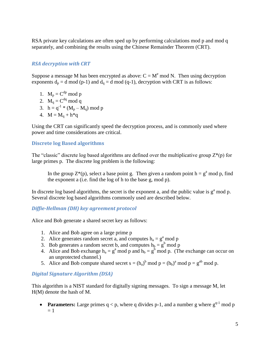RSA private key calculations are often sped up by performing calculations mod p and mod q separately, and combining the results using the Chinese Remainder Theorem (CRT).

#### *RSA decryption with CRT*

Suppose a message M has been encrypted as above:  $C = M^e \text{ mod } N$ . Then using decryption exponents  $d_p = d \mod (p-1)$  and  $d_q = d \mod (q-1)$ , decryption with CRT is as follows:

- 1.  $M_p = C^{dp} \mod p$
- 2.  $\mathbf{M}_q = \mathbf{C}^{dq} \bmod q$
- 3.  $h = q^{-1} * (M_p M_q) \text{ mod } p$
- 4.  $M = M_0 + h^*q$

Using the CRT can significantly speed the decryption process, and is commonly used where power and time considerations are critical.

#### **Discrete log Based algorithms**

The "classic" discrete log based algorithms are defined over the multiplicative group  $Z^*(p)$  for large primes p. The discrete log problem is the following:

In the group  $Z^*(p)$ , select a base point g. Then given a random point  $h = g^a \mod p$ , find the exponent a (i.e. find the log of h to the base g, mod p).

In discrete log based algorithms, the secret is the exponent a, and the public value is  $g^a$  mod p. Several discrete log based algorithms commonly used are described below.

#### *Diffie-Hellman (DH) key agreement protocol*

Alice and Bob generate a shared secret key as follows:

- 1. Alice and Bob agree on a large prime p
- 2. Alice generates random secret a, and computes  $h_a = g^a \mod p$
- 3. Bob generates a random secret b, and computes  $h_b = g^b \mod p$
- 4. Alice and Bob exchange  $h_a = g^a \mod p$  and  $h_b = g^b \mod p$ . (The exchange can occur on an unprotected channel.)
- 5. Alice and Bob compute shared secret  $s = (h_a)^b \mod p = (h_b)^a \mod p = g^{ab} \mod p$ .

#### *Digital Signature Algorithm (DSA)*

This algorithm is a NIST standard for digitally signing messages. To sign a message M, let H(M) denote the hash of M.

**Parameters:** Large primes  $q < p$ , where q divides p-1, and a number g where  $g^{q-1}$  mod p  $= 1$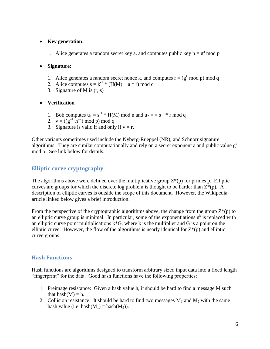#### **Key generation:**

1. Alice generates a random secret key a, and computes public key  $h = g<sup>a</sup>$  mod p

#### **Signature:**

- 1. Alice generates a random secret nonce k, and computes  $r = (g^k \mod p) \mod q$
- 2. Alice computes  $s = k^{-1} * (H(M) + a * r) \mod q$
- 3. Signature of M is (r, s)

#### **Verification**

- 1. Bob computes  $u_1 = s^{-1} * H(M) \text{ mod } n$  and  $u_2 = s^{-1} * r \text{ mod } q$
- 2.  $v = ((g^{u1} \cdot h^{u2}) \bmod p) \bmod q$
- 3. Signature is valid if and only if  $v = r$ .

Other variants sometimes used include the Nyberg-Rueppel (NR), and Schnorr signature algorithms. They are similar computationally and rely on a secret exponent a and public value  $g<sup>a</sup>$ mod p. See link below for details.

#### **Elliptic curve cryptography**

The algorithms above were defined over the multiplicative group  $Z^*(p)$  for primes p. Elliptic curves are groups for which the discrete log problem is thought to be harder than  $Z^*(p)$ . A description of elliptic curves is outside the scope of this document. However, the Wikipedia article linked below gives a brief introduction.

From the perspective of the cryptographic algorithms above, the change from the group  $Z^*(p)$  to an elliptic curve group is minimal. In particular, some of the exponentiations  $g<sup>k</sup>$  is replaced with an elliptic curve point multiplications  $k*G$ , where k is the multiplier and G is a point on the elliptic curve. However, the flow of the algorithms is nearly identical for  $Z^*(p)$  and elliptic curve groups.

#### **Hash Functions**

Hash functions are algorithms designed to transform arbitrary sized input data into a fixed length "fingerprint" for the data. Good hash functions have the following properties:

- 1. Preimage resistance: Given a hash value h, it should be hard to find a message M such that hash $(M) = h$ .
- 2. Collision resistance: It should be hard to find two messages  $M_1$  and  $M_2$  with the same hash value (i.e. hash $(M_1)$  = hash $(M_2)$ ).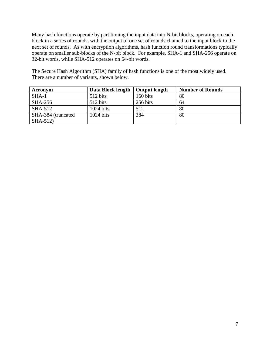Many hash functions operate by partitioning the input data into N-bit blocks, operating on each block in a series of rounds, with the output of one set of rounds chained to the input block to the next set of rounds. As with encryption algorithms, hash function round transformations typically operate on smaller sub-blocks of the N-bit block. For example, SHA-1 and SHA-256 operate on 32-bit words, while SHA-512 operates on 64-bit words.

The Secure Hash Algorithm (SHA) family of hash functions is one of the most widely used. There are a number of variants, shown below.

| Acronym            | Data Block length   | <b>Output length</b> | <b>Number of Rounds</b> |
|--------------------|---------------------|----------------------|-------------------------|
| $SHA-1$            | 512 bits            | 160 bits             | 80                      |
| <b>SHA-256</b>     | 512 bits            | 256 bits             | 64                      |
| SHA-512            | $1024$ bits         | 512                  | 80                      |
| SHA-384 (truncated | $1024 \text{ bits}$ | 384                  | 80                      |
| SHA-512)           |                     |                      |                         |